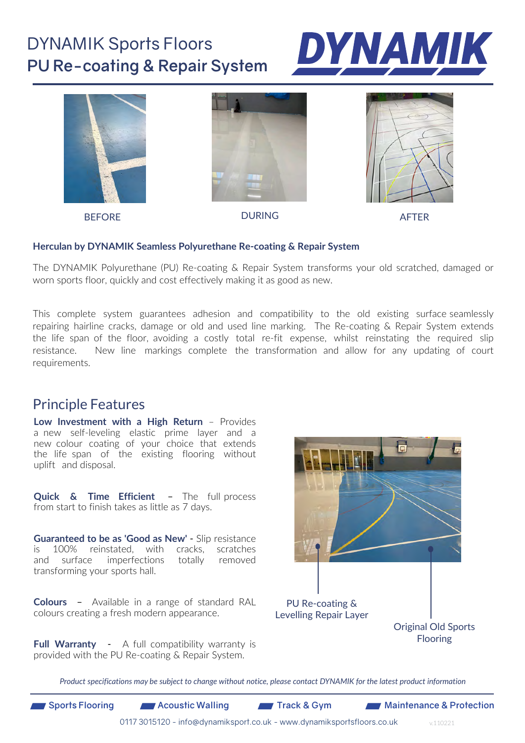## DYNAMIK Sports Floors **PU Re-coating & Repair System**





#### **Herculan by DYNAMIK Seamless Polyurethane Re-coating & Repair System**

The DYNAMIK Polyurethane (PU) Re-coating & Repair System transforms your old scratched, damaged or worn sports floor, quickly and cost effectively making it as good as new.

This complete system guarantees adhesion and compatibility to the old existing surface seamlessly repairing hairline cracks, damage or old and used line marking. The Re-coating & Repair System extends the life span of the floor, avoiding a costly total re-fit expense, whilst reinstating the required slip resistance. New line markings complete the transformation and allow for any updating of court requirements.

### Principle Features

**Low Investment with a High Return** – Provides a new self-leveling elastic prime layer and a new colour coating of your choice that extends the life span of the existing flooring without uplift and disposal.

**Quick & Time Efficient** – The full process from start to finish takes as little as 7 days.

**Guaranteed to be as 'Good as New'** - Slip resistance is 100% reinstated, with cracks, scratches and surface imperfections totally removed transforming your sports hall.

**Colours** – Available in a range of standard RAL colours creating a fresh modern appearance.

**Full Warranty** - A full compatibility warranty is provided with the PU Re-coating & Repair System.



*Product specifications may be subject to change without notice, please contact DYNAMIK for the latest product information*

v.110221

0117 3015120 - info@dynamiksport.co.uk - www.dynamiksportsfloors.co.uk